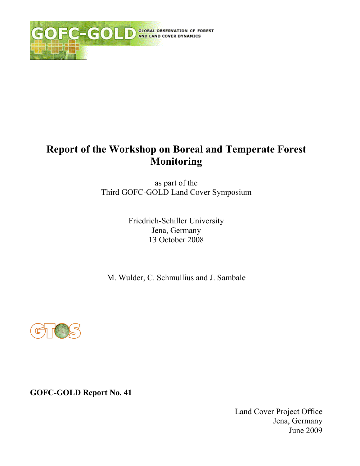

# **Report of the Workshop on Boreal and Temperate Forest Monitoring**

as part of the Third GOFC-GOLD Land Cover Symposium

> Friedrich-Schiller University Jena, Germany 13 October 2008

M. Wulder, C. Schmullius and J. Sambale



**GOFC-GOLD Report No. 41** 

Land Cover Project Office Jena, Germany June 2009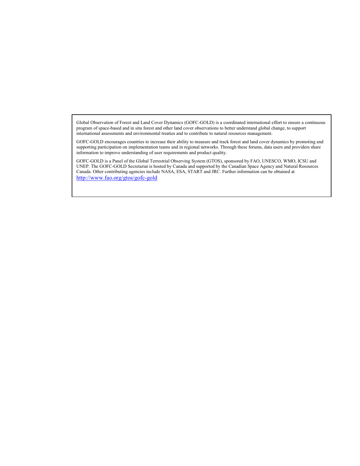Global Observation of Forest and Land Cover Dynamics (GOFC-GOLD) is a coordinated international effort to ensure a continuous program of space-based and in situ forest and other land cover observations to better understand global change, to support international assessments and environmental treaties and to contribute to natural resources management.

GOFC-GOLD encourages countries to increase their ability to measure and track forest and land cover dynamics by promoting and supporting participation on implementation teams and in regional networks. Through these forums, data users and providers share information to improve understanding of user requirements and product quality.

GOFC-GOLD is a Panel of the Global Terrestrial Observing System (GTOS), sponsored by FAO, UNESCO, WMO, ICSU and UNEP. The GOFC-GOLD Secretariat is hosted by Canada and supported by the Canadian Space Agency and Natural Resources Canada. Other contributing agencies include NASA, ESA, START and JRC. Further information can be obtained at http://www.fao.org/gtos/gofc-gold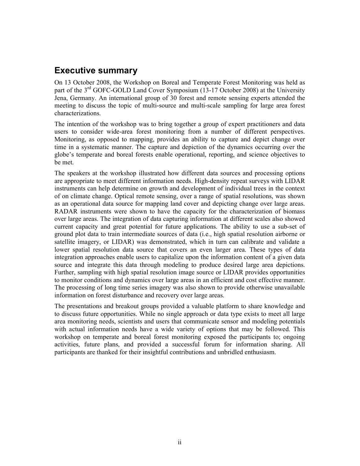## **Executive summary**

On 13 October 2008, the Workshop on Boreal and Temperate Forest Monitoring was held as part of the 3<sup>rd</sup> GOFC-GOLD Land Cover Symposium (13-17 October 2008) at the University Jena, Germany. An international group of 30 forest and remote sensing experts attended the meeting to discuss the topic of multi-source and multi-scale sampling for large area forest characterizations.

The intention of the workshop was to bring together a group of expert practitioners and data users to consider wide-area forest monitoring from a number of different perspectives. Monitoring, as opposed to mapping, provides an ability to capture and depict change over time in a systematic manner. The capture and depiction of the dynamics occurring over the globe's temperate and boreal forests enable operational, reporting, and science objectives to be met.

The speakers at the workshop illustrated how different data sources and processing options are appropriate to meet different information needs. High-density repeat surveys with LIDAR instruments can help determine on growth and development of individual trees in the context of on climate change. Optical remote sensing, over a range of spatial resolutions, was shown as an operational data source for mapping land cover and depicting change over large areas. RADAR instruments were shown to have the capacity for the characterization of biomass over large areas. The integration of data capturing information at different scales also showed current capacity and great potential for future applications. The ability to use a sub-set of ground plot data to train intermediate sources of data (i.e., high spatial resolution airborne or satellite imagery, or LIDAR) was demonstrated, which in turn can calibrate and validate a lower spatial resolution data source that covers an even larger area. These types of data integration approaches enable users to capitalize upon the information content of a given data source and integrate this data through modeling to produce desired large area depictions. Further, sampling with high spatial resolution image source or LIDAR provides opportunities to monitor conditions and dynamics over large areas in an efficient and cost effective manner. The processing of long time series imagery was also shown to provide otherwise unavailable information on forest disturbance and recovery over large areas.

The presentations and breakout groups provided a valuable platform to share knowledge and to discuss future opportunities. While no single approach or data type exists to meet all large area monitoring needs, scientists and users that communicate sensor and modeling potentials with actual information needs have a wide variety of options that may be followed. This workshop on temperate and boreal forest monitoring exposed the participants to; ongoing activities, future plans, and provided a successful forum for information sharing. All participants are thanked for their insightful contributions and unbridled enthusiasm.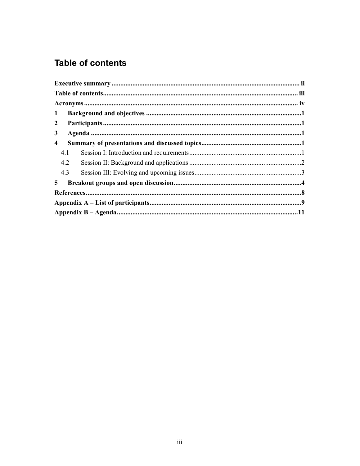## **Table of contents**

| $\mathbf{1}$            |  |  |  |
|-------------------------|--|--|--|
| $\overline{2}$          |  |  |  |
| $\mathbf{3}$            |  |  |  |
| $\overline{\mathbf{4}}$ |  |  |  |
| 4.1                     |  |  |  |
| 4.2                     |  |  |  |
| 4.3                     |  |  |  |
| 5                       |  |  |  |
|                         |  |  |  |
|                         |  |  |  |
|                         |  |  |  |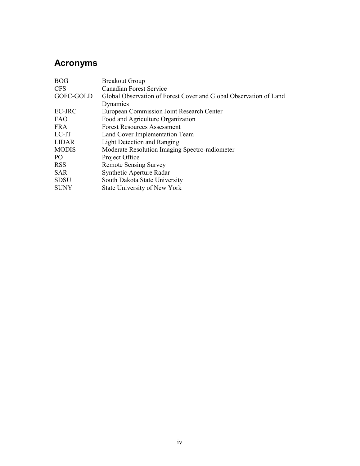## **Acronyms**

| <b>BOG</b>      | <b>Breakout Group</b>                                             |  |  |
|-----------------|-------------------------------------------------------------------|--|--|
| <b>CFS</b>      | <b>Canadian Forest Service</b>                                    |  |  |
| GOFC-GOLD       | Global Observation of Forest Cover and Global Observation of Land |  |  |
|                 | Dynamics                                                          |  |  |
| EC-JRC          | <b>European Commission Joint Research Center</b>                  |  |  |
| <b>FAO</b>      | Food and Agriculture Organization                                 |  |  |
| <b>FRA</b>      | <b>Forest Resources Assessment</b>                                |  |  |
| LC-IT           | Land Cover Implementation Team                                    |  |  |
| <b>LIDAR</b>    | Light Detection and Ranging                                       |  |  |
| <b>MODIS</b>    | Moderate Resolution Imaging Spectro-radiometer                    |  |  |
| PO <sub>1</sub> | Project Office                                                    |  |  |
| <b>RSS</b>      | <b>Remote Sensing Survey</b>                                      |  |  |
| <b>SAR</b>      | Synthetic Aperture Radar                                          |  |  |
| <b>SDSU</b>     | South Dakota State University                                     |  |  |
| <b>SUNY</b>     | <b>State University of New York</b>                               |  |  |
|                 |                                                                   |  |  |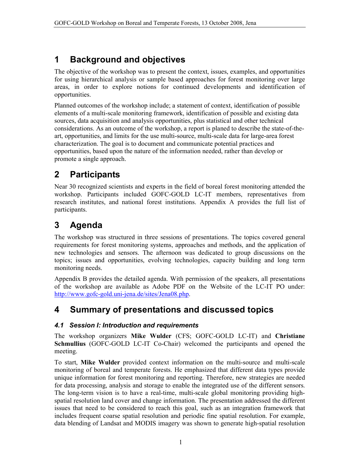#### 1 **Background and objectives**

The objective of the workshop was to present the context, issues, examples, and opportunities for using hierarchical analysis or sample based approaches for forest monitoring over large areas, in order to explore notions for continued developments and identification of opportunities.

Planned outcomes of the workshop include; a statement of context, identification of possible elements of a multi-scale monitoring framework, identification of possible and existing data sources, data acquisition and analysis opportunities, plus statistical and other technical considerations. As an outcome of the workshop, a report is planed to describe the state-of-theart, opportunities, and limits for the use multi-source, multi-scale data for large-area forest characterization. The goal is to document and communicate potential practices and opportunities, based upon the nature of the information needed, rather than develop or promote a single approach.

#### $\overline{2}$ **Participants**

Near 30 recognized scientists and experts in the field of boreal forest monitoring attended the workshop. Participants included GOFC-GOLD LC-IT members, representatives from research institutes, and national forest institutions. Appendix A provides the full list of participants.

#### **Agenda** 3

The workshop was structured in three sessions of presentations. The topics covered general requirements for forest monitoring systems, approaches and methods, and the application of new technologies and sensors. The afternoon was dedicated to group discussions on the topics; issues and opportunities, evolving technologies, capacity building and long term monitoring needs.

Appendix B provides the detailed agenda. With permission of the speakers, all presentations of the workshop are available as Adobe PDF on the Website of the LC-IT PO under: http://www.gofc-gold.uni-jena.de/sites/Jena08.php.

#### Summary of presentations and discussed topics 4

### 4.1 Session I: Introduction and requirements

The workshop organizers Mike Wulder (CFS; GOFC-GOLD LC-IT) and Christiane **Schmullius** (GOFC-GOLD LC-IT Co-Chair) welcomed the participants and opened the meeting.

To start, Mike Wulder provided context information on the multi-source and multi-scale monitoring of boreal and temperate forests. He emphasized that different data types provide unique information for forest monitoring and reporting. Therefore, new strategies are needed for data processing, analysis and storage to enable the integrated use of the different sensors. The long-term vision is to have a real-time, multi-scale global monitoring providing highspatial resolution land cover and change information. The presentation addressed the different issues that need to be considered to reach this goal, such as an integration framework that includes frequent coarse spatial resolution and periodic fine spatial resolution. For example, data blending of Landsat and MODIS imagery was shown to generate high-spatial resolution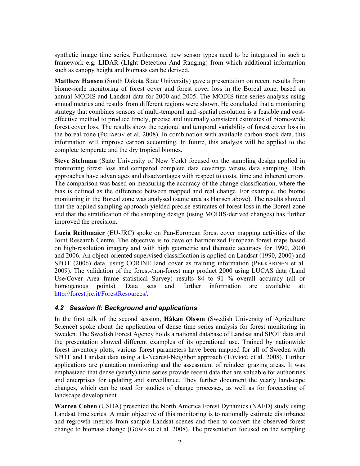synthetic image time series. Furthermore, new sensor types need to be integrated in such a framework e.g. LIDAR (LIght Detection And Ranging) from which additional information such as canopy height and biomass can be derived.

**Matthew Hansen** (South Dakota State University) gave a presentation on recent results from biome-scale monitoring of forest cover and forest cover loss in the Boreal zone, based on annual MODIS and Landsat data for 2000 and 2005. The MODIS time series analysis using annual metrics and results from different regions were shown. He concluded that a monitoring strategy that combines sensors of multi-temporal and -spatial resolution is a feasible and costeffective method to produce timely, precise and internally consistent estimates of biome-wide forest cover loss. The results show the regional and temporal variability of forest cover loss in the boreal zone (POTAPOV et al. 2008). In combination with available carbon stock data, this information will improve carbon accounting. In future, this analysis will be applied to the complete temperate and the dry tropical biomes.

Steve Stehman (State University of New York) focused on the sampling design applied in monitoring forest loss and compared complete data coverage versus data sampling. Both approaches have advantages and disadvantages with respect to costs, time and inherent errors. The comparison was based on measuring the accuracy of the change classification, where the bias is defined as the difference between mapped and real change. For example, the biome monitoring in the Boreal zone was analysed (same area as Hansen above). The results showed that the applied sampling approach yielded precise estimates of forest loss in the Boreal zone and that the stratification of the sampling design (using MODIS-derived changes) has further improved the precision.

Lucia Reithmaier (EU-JRC) spoke on Pan-European forest cover mapping activities of the Joint Research Centre. The objective is to develop harmonized European forest maps based on high-resolution imagery and with high geometric and thematic accuracy for 1990, 2000 and 2006. An object-oriented supervised classification is applied on Landsat (1990, 2000) and SPOT (2006) data, using CORINE land cover as training information (PEKKARINEN et al. 2009). The validation of the forest-/non-forest map product 2000 using LUCAS data (Land Use/Cover Area frame statistical Survey) results 84 to 91 % overall accuracy (all or points). Data sets and further information are homogenous available  $at^{\cdot}$ http://forest.jrc.it/ForestResources/.

### 4.2 Session II: Background and applications

In the first talk of the second session, Håkan Olsson (Swedish University of Agriculture Science) spoke about the application of dense time series analysis for forest monitoring in Sweden. The Swedish Forest Agency holds a national database of Landsat and SPOT data and the presentation showed different examples of its operational use. Trained by nationwide forest inventory plots, various forest parameters have been mapped for all of Sweden with SPOT and Landsat data using a k-Nearest-Neighbor approach (TOMPPO et al. 2008). Further applications are plantation monitoring and the assessment of reindeer grazing areas. It was emphasized that dense (yearly) time series provide recent data that are valuable for authorities and enterprises for updating and surveillance. They further document the yearly landscape changes, which can be used for studies of change processes, as well as for forecasting of landscape development.

**Warren Cohen** (USDA) presented the North America Forest Dynamics (NAFD) study using Landsat time series. A main objective of this monitoring is to nationally estimate disturbance and regrowth metrics from sample Landsat scenes and then to convert the observed forest change to biomass change (GOWARD et al. 2008). The presentation focused on the sampling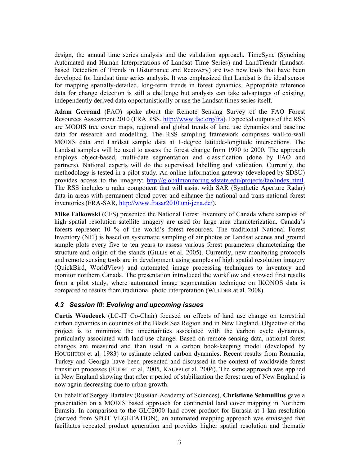design, the annual time series analysis and the validation approach. TimeSync (Synching Automated and Human Interpretations of Landsat Time Series) and LandTrendr (Landsatbased Detection of Trends in Disturbance and Recovery) are two new tools that have been developed for Landsat time series analysis. It was emphasized that Landsat is the ideal sensor for mapping spatially-detailed, long-term trends in forest dynamics. Appropriate reference data for change detection is still a challenge but analysts can take advantages of existing, independently derived data opportunistically or use the Landsat times series itself.

Adam Gerrand (FAO) spoke about the Remote Sensing Survey of the FAO Forest Resources Assessment 2010 (FRA RSS, http://www.fao.org/fra). Expected outputs of the RSS are MODIS tree cover maps, regional and global trends of land use dynamics and baseline data for research and modelling. The RSS sampling framework comprises wall-to-wall MODIS data and Landsat sample data at 1-degree latitude-longitude intersections. The Landsat samples will be used to assess the forest change from 1990 to 2000. The approach employs object-based, multi-date segmentation and classification (done by FAO and partners). National experts will do the supervised labelling and validation. Currently, the methodology is tested in a pilot study. An online information gateway (developed by SDSU) provides access to the imagery: http://globalmonitoring.sdstate.edu/projects/fao/index.html. The RSS includes a radar component that will assist with SAR (Synthetic Aperture Radar) data in areas with permanent cloud cover and enhance the national and trans-national forest inventories (FRA-SAR, http://www.frasar2010.uni-jena.de/).

Mike Falkowski (CFS) presented the National Forest Inventory of Canada where samples of high spatial resolution satellite imagery are used for large area characterization. Canada's forests represent 10 % of the world's forest resources. The traditional National Forest Inventory (NFI) is based on systematic sampling of air photos or Landsat scenes and ground sample plots every five to ten years to assess various forest parameters characterizing the structure and origin of the stands (GILLIS et al. 2005). Currently, new monitoring protocols and remote sensing tools are in development using samples of high spatial resolution imagery (QuickBird, WorldView) and automated image processing techniques to inventory and monitor northern Canada. The presentation introduced the workflow and showed first results from a pilot study, where automated image segmentation technique on IKONOS data is compared to results from traditional photo interpretation (WULDER at al. 2008).

### 4.3 Session III: Evolving and upcoming issues

**Curtis Woodcock** (LC-IT Co-Chair) focused on effects of land use change on terrestrial carbon dynamics in countries of the Black Sea Region and in New England. Objective of the project is to minimize the uncertainties associated with the carbon cycle dynamics, particularly associated with land-use change. Based on remote sensing data, national forest changes are measured and than used in a carbon book-keeping model (developed by HOUGHTON et al. 1983) to estimate related carbon dynamics. Recent results from Romania, Turkey and Georgia have been presented and discussed in the context of worldwide forest transition processes (RUDEL et al. 2005, KAUPPI et al. 2006). The same approach was applied in New England showing that after a period of stabilization the forest area of New England is now again decreasing due to urban growth.

On behalf of Sergey Bartaley (Russian Academy of Sciences), Christiane Schmullius gave a presentation on a MODIS based approach for continental land cover mapping in Northern Eurasia. In comparison to the GLC2000 land cover product for Eurasia at 1 km resolution (derived from SPOT VEGETATION), an automated mapping approach was envisaged that facilitates repeated product generation and provides higher spatial resolution and thematic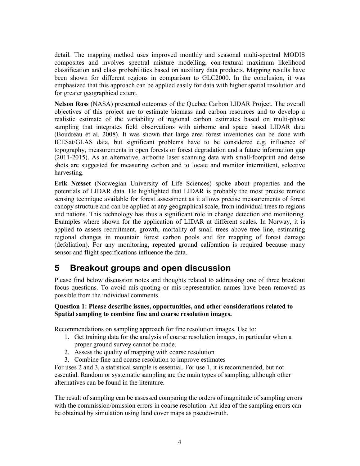detail. The mapping method uses improved monthly and seasonal multi-spectral MODIS composites and involves spectral mixture modelling, con-textural maximum likelihood classification and class probabilities based on auxiliary data products. Mapping results have been shown for different regions in comparison to GLC2000. In the conclusion, it was emphasized that this approach can be applied easily for data with higher spatial resolution and for greater geographical extent.

Nelson Ross (NASA) presented outcomes of the Quebec Carbon LIDAR Project. The overall objectives of this project are to estimate biomass and carbon resources and to develop a realistic estimate of the variability of regional carbon estimates based on multi-phase sampling that integrates field observations with airborne and space based LIDAR data (Boudreau et al. 2008). It was shown that large area forest inventories can be done with ICESat/GLAS data, but significant problems have to be considered e.g. influence of topography, measurements in open forests or forest degradation and a future information gap (2011-2015). As an alternative, airborne laser scanning data with small-footprint and dense shots are suggested for measuring carbon and to locate and monitor intermittent, selective harvesting.

Erik Næsset (Norwegian University of Life Sciences) spoke about properties and the potentials of LIDAR data. He highlighted that LIDAR is probably the most precise remote sensing technique available for forest assessment as it allows precise measurements of forest can be applied at any geographical scale, from individual trees to regions and nations. This technology has thus a significant role in change detection and monitoring. Examples where shown for the application of LIDAR at different scales. In Norway, it is applied to assess recruitment, growth, mortality of small trees above tree line, estimating regional changes in mountain forest carbon pools and for mapping of forest damage (defoliation). For any monitoring, repeated ground calibration is required because many sensor and flight specifications influence the data.

#### 5 **Breakout groups and open discussion**

Please find below discussion notes and thoughts related to addressing one of three breakout focus questions. To avoid mis-quoting or mis-representation names have been removed as possible from the individual comments.

#### Question 1: Please describe issues, opportunities, and other considerations related to Spatial sampling to combine fine and coarse resolution images.

Recommendations on sampling approach for fine resolution images. Use to:

- 1. Get training data for the analysis of coarse resolution images, in particular when a proper ground survey cannot be made.
- 2. Assess the quality of mapping with coarse resolution
- 3. Combine fine and coarse resolution to improve estimates

For uses 2 and 3, a statistical sample is essential. For use 1, it is recommended, but not essential. Random or systematic sampling are the main types of sampling, although other alternatives can be found in the literature

The result of sampling can be assessed comparing the orders of magnitude of sampling errors with the commission/omission errors in coarse resolution. An idea of the sampling errors can be obtained by simulation using land cover maps as pseudo-truth.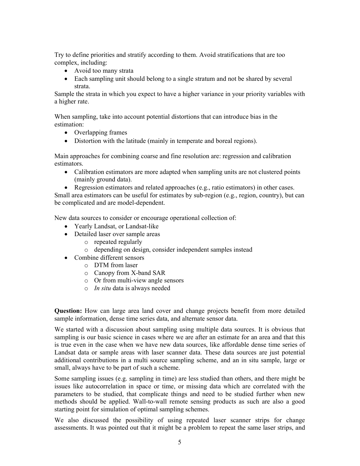Try to define priorities and stratify according to them. Avoid stratifications that are too complex, including:

- Avoid too many strata
- Each sampling unit should belong to a single stratum and not be shared by several strata

Sample the strata in which you expect to have a higher variance in your priority variables with a higher rate.

When sampling, take into account potential distortions that can introduce bias in the estimation.

- $\bullet$  Overlapping frames
- Distortion with the latitude (mainly in temperate and boreal regions).

Main approaches for combining coarse and fine resolution are: regression and calibration estimators.

• Calibration estimators are more adapted when sampling units are not clustered points (mainly ground data).

• Regression estimators and related approaches (e.g., ratio estimators) in other cases. Small area estimators can be useful for estimates by sub-region (e.g., region, country), but can be complicated and are model-dependent.

New data sources to consider or encourage operational collection of:

- Yearly Landsat, or Landsat-like
- Detailed laser over sample areas
	- $\circ$  repeated regularly
	- o depending on design, consider independent samples instead
- Combine different sensors
	- $\circ$  DTM from laser
	- $\circ$  Canopy from X-band SAR
	- $\circ$  Or from multi-view angle sensors
	- $\circ$  *In situ* data is always needed

**Question:** How can large area land cover and change projects benefit from more detailed sample information, dense time series data, and alternate sensor data.

We started with a discussion about sampling using multiple data sources. It is obvious that sampling is our basic science in cases where we are after an estimate for an area and that this is true even in the case when we have new data sources, like affordable dense time series of Landsat data or sample areas with laser scanner data. These data sources are just potential additional contributions in a multi source sampling scheme, and an in situ sample, large or small, always have to be part of such a scheme.

Some sampling issues (e.g. sampling in time) are less studied than others, and there might be issues like autocorrelation in space or time, or missing data which are correlated with the parameters to be studied, that complicate things and need to be studied further when new methods should be applied. Wall-to-wall remote sensing products as such are also a good starting point for simulation of optimal sampling schemes.

We also discussed the possibility of using repeated laser scanner strips for change assessments. It was pointed out that it might be a problem to repeat the same laser strips, and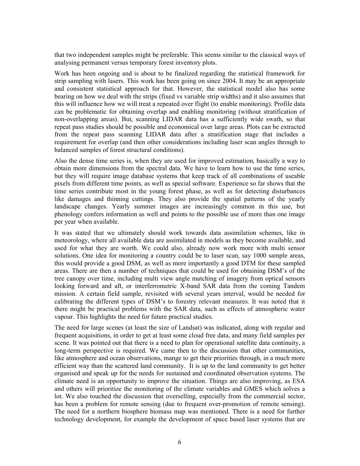that two independent samples might be preferable. This seems similar to the classical ways of analysing permanent versus temporary forest inventory plots.

Work has been ongoing and is about to be finalized regarding the statistical framework for strip sampling with lasers. This work has been going on since 2004. It may be an appropriate and consistent statistical approach for that. However, the statistical model also has some bearing on how we deal with the strips (fixed vs variable strip widths) and it also assumes that this will influence how we will treat a repeated over flight (to enable monitoring). Profile data can be problematic for obtaining overlap and enabling monitoring (without stratification of non-overlapping areas). But, scanning LIDAR data has a sufficiently wide swath, so that repeat pass studies should be possible and economical over large areas. Plots can be extracted from the repeat pass scanning LIDAR data after a stratification stage that includes a requirement for overlap (and then other considerations including laser scan angles through to balanced samples of forest structural conditions).

Also the dense time series is, when they are used for improved estimation, basically a way to obtain more dimensions from the spectral data. We have to learn how to use the time series, but they will require image database systems that keep track of all combinations of useable pixels from different time points, as well as special software. Experience so far shows that the time series contribute most in the young forest phase, as well as for detecting disturbances like damages and thinning cuttings. They also provide the spatial patterns of the yearly landscape changes. Yearly summer images are increasingly common in this use, but phenology confers information as well and points to the possible use of more than one image per year when available.

It was stated that we ultimately should work towards data assimilation schemes, like in meteorology, where all available data are assimilated in models as they become available, and used for what they are worth. We could also, already now work more with multi sensor solutions. One idea for monitoring a country could be to laser scan, say 1000 sample areas, this would provide a good DSM, as well as more importantly a good DTM for these sampled areas. There are then a number of techniques that could be used for obtaining DSM's of the tree canopy over time, including multi view angle matching of imagery from optical sensors looking forward and aft, or interferrometric X-band SAR data from the coming Tandem mission. A certain field sample, revisited with several years interval, would be needed for calibrating the different types of DSM's to forestry relevant measures. It was noted that it there might be practical problems with the SAR data, such as effects of atmospheric water vapour. This highlights the need for future practical studies.

The need for large scenes (at least the size of Landsat) was indicated, along with regular and frequent acquisitions, in order to get at least some cloud free data, and many field samples per scene. It was pointed out that there is a need to plan for operational satellite data continuity, a long-term perspective is required. We came then to the discussion that other communities, like atmosphere and ocean observations, mange to get their priorities through, in a much more efficient way than the scattered land community. It is up to the land community to get better organised and speak up for the needs for sustained and coordinated observation systems. The climate need is an opportunity to improve the situation. Things are also improving, as ESA and others will prioritize the monitoring of the climate variables and GMES which solves a lot. We also touched the discussion that overselling, especially from the commercial sector, has been a problem for remote sensing (due to frequent over-promotion of remote sensing). The need for a northern biosphere biomass map was mentioned. There is a need for further technology development, for example the development of space based laser systems that are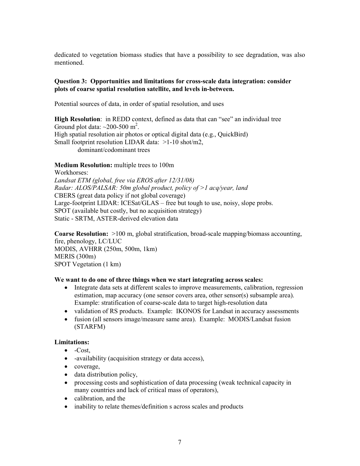dedicated to vegetation biomass studies that have a possibility to see degradation, was also mentioned.

#### **Question 3: Opportunities and limitations for cross-scale data integration: consider** plots of coarse spatial resolution satellite, and levels in-between.

Potential sources of data, in order of spatial resolution, and uses

**High Resolution:** in REDD context, defined as data that can "see" an individual tree Ground plot data:  $\sim$ 200-500 m<sup>2</sup>. High spatial resolution air photos or optical digital data (e.g., QuickBird) Small footprint resolution LIDAR data:  $>1-10$  shot/m2, dominant/codominant trees

### Medium Resolution: multiple trees to 100m

Workhorses: Landsat ETM (global, free via EROS after 12/31/08) Radar: ALOS/PALSAR: 50m global product, policy of  $>1$  acq/year, land CBERS (great data policy if not global coverage) Large-footprint LIDAR: ICESat/GLAS – free but tough to use, noisy, slope probs. SPOT (available but costly, but no acquisition strategy) Static - SRTM, ASTER-derived elevation data

**Coarse Resolution:**  $>100$  m, global stratification, broad-scale mapping/biomass accounting, fire, phenology, LC/LUC MODIS, AVHRR (250m, 500m, 1km)  $MERIS (300m)$ SPOT Vegetation (1 km)

### We want to do one of three things when we start integrating across scales:

- Integrate data sets at different scales to improve measurements, calibration, regression estimation, map accuracy (one sensor covers area, other sensor(s) subsample area). Example: stratification of coarse-scale data to target high-resolution data
- validation of RS products. Example: IKONOS for Landsat in accuracy assessments
- fusion (all sensors image/measure same area). Example: MODIS/Landsat fusion (STARFM)

### Limitations:

- $\bullet$  -Cost.
- -availability (acquisition strategy or data access),
- $\bullet$  coverage,
- $\bullet$  data distribution policy,
- processing costs and sophistication of data processing (weak technical capacity in many countries and lack of critical mass of operators),
- calibration, and the
- inability to relate themes/definition s across scales and products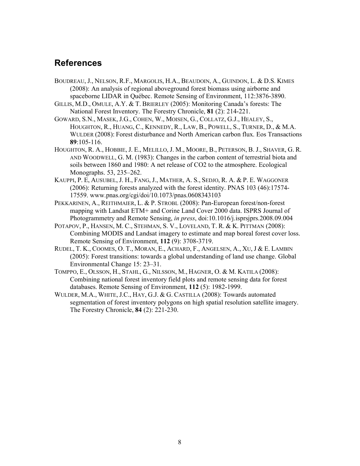## **References**

- BOUDREAU, J., NELSON, R.F., MARGOLIS, H.A., BEAUDOIN, A., GUINDON, L. & D.S. KIMES (2008): An analysis of regional aboveground forest biomass using airborne and spaceborne LIDAR in Québec. Remote Sensing of Environment, 112:3876-3890.
- GILLIS, M.D., OMULE, A.Y. & T. BRIERLEY (2005): Monitoring Canada's forests: The National Forest Inventory. The Forestry Chronicle, 81 (2): 214-221.
- GOWARD, S.N., MASEK, J.G., COHEN, W., MOISEN, G., COLLATZ, G.J., HEALEY, S., HOUGHTON, R., HUANG, C., KENNEDY, R., LAW, B., POWELL, S., TURNER, D., & M.A. WULDER (2008): Forest disturbance and North American carbon flux. Eos Transactions 89:105-116.
- HOUGHTON, R. A., HOBBIE, J. E., MELILLO, J. M., MOORE, B., PETERSON, B. J., SHAVER, G. R. AND WOODWELL, G. M. (1983): Changes in the carbon content of terrestrial biota and soils between 1860 and 1980: A net release of CO2 to the atmosphere. Ecological Monographs. 53, 235-262.
- KAUPPI, P. E, AUSUBEL, J. H., FANG, J., MATHER, A. S., SEDJO, R. A. & P. E. WAGGONER (2006): Returning forests analyzed with the forest identity. PNAS 103 (46):17574-17559. www.pnas.org/cgi/doi/10.1073/pnas.0608343103
- PEKKARINEN, A., REITHMAIER, L. & P. STROBL (2008): Pan-European forest/non-forest mapping with Landsat ETM+ and Corine Land Cover 2000 data. ISPRS Journal of Photogrammetry and Remote Sensing, in press, doi:10.1016/j.isprsiprs.2008.09.004
- POTAPOV, P., HANSEN, M. C., STEHMAN, S. V., LOVELAND, T. R. & K. PITTMAN (2008): Combining MODIS and Landsat imagery to estimate and map boreal forest cover loss. Remote Sensing of Environment, 112 (9): 3708-3719.
- RUDEL, T. K., COOMES, O. T., MORAN, E., ACHARD, F., ANGELSEN, A., XU, J & E. LAMBIN (2005): Forest transitions: towards a global understanding of land use change. Global Environmental Change 15: 23–31.
- TOMPPO, E., OLSSON, H., STAHL, G., NILSSON, M., HAGNER, O. & M. KATILA (2008): Combining national forest inventory field plots and remote sensing data for forest databases. Remote Sensing of Environment, 112 (5): 1982-1999.
- WULDER, M.A., WHITE, J.C., HAY, G.J. & G. CASTILLA (2008): Towards automated segmentation of forest inventory polygons on high spatial resolution satellite imagery. The Forestry Chronicle, 84 (2): 221-230.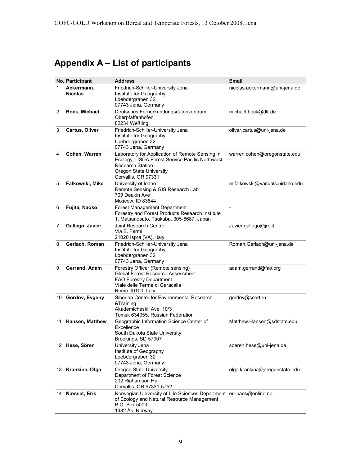# Appendix A - List of participants

|                | No. Participant              | <b>Address</b>                                                                                                                                                                        | <b>Email</b>                   |
|----------------|------------------------------|---------------------------------------------------------------------------------------------------------------------------------------------------------------------------------------|--------------------------------|
| 1              | Ackermann,<br><b>Nicolas</b> | Friedrich-Schiller-University Jena<br>Institute for Geography<br>Loebdergraben 32<br>07743 Jena, Germany                                                                              | nicolas.ackermann@uni-jena.de  |
| $\overline{2}$ | Bock, Michael                | Deutsches Fernerkundungsdatenzentrum<br>Oberpfaffenhofen<br>82234 Weßling                                                                                                             | michael.bock@dlr.de            |
| 3              | Cartus, Oliver               | Friedrich-Schiller-University Jena<br>Institute for Geography<br>Loebdergraben 32<br>07743 Jena, Germany                                                                              | oliver.cartus@uni-jena.de      |
| 4              | Cohen, Warren                | Laboratory for Application of Remote Sensing in<br>Ecology, USDA Forest Service Pacific Northwest<br><b>Research Station</b><br><b>Oregon State University</b><br>Corvallis, OR 97331 | warren.cohen@oregonstate.edu   |
| 5              | Falkowski, Mike              | University of Idaho<br>Remote Sensing & GIS Research Lab<br>709 Deakin Ave<br>Moscow, ID 83844                                                                                        | mjfalkowski@vandals.uidaho.edu |
| 6              | Fujita, Naoko                | Forest Management Department<br>Forestry and Forest Products Research Institute<br>1, Matsunosato, Tsukuba, 305-8687, Japan                                                           |                                |
| 7              | Gallego, Javier              | Joint Research Centre<br>Via E. Fermi<br>21020 Ispra (VA), Italy                                                                                                                      | Javier.gallego@jrc.it          |
| 8              | Gerlach, Roman               | Friedrich-Schiller-University Jena<br>Institute for Geography<br>Loebdergraben 32<br>07743 Jena, Germany                                                                              | Roman.Gerlach@uni-jena.de      |
| 9              | Gerrand, Adam                | Forestry Officer (Remote sensing)<br><b>Global Forest Resource Assessment</b><br>FAO Forestry Department<br>Viale delle Terme di Caracalla<br>Rome 00100, Italy                       | adam.gerrand@fao.org           |
|                | 10 Gordov, Evgeny            | Siberian Center for Environmental Research<br>&Training<br>Akademicheskii Ave. 10/3<br>Tomsk 634055, Russian Federation                                                               | gordov@scert.ru                |
|                | 11 Hansen, Matthew           | Geographic Information Science Center of<br>Excellence<br>South Dakota State University<br>Brookings, SD 57007                                                                        | Matthew.Hansen@sdstate.edu     |
|                | 12 Hese, Sören               | University Jena<br>Institute of Geography<br>Loebdergraben 32<br>07743 Jena, Germany                                                                                                  | soeren.hese@uni-jena.de        |
|                | 13 Krankina, Olga            | <b>Oregon State University</b><br>Department of Forest Science<br>202 Richardson Hall<br>Corvallis, OR 97331-5752                                                                     | olga.krankina@oregonstate.edu  |
|                | 14 Næsset, Erik              | Norwegian University of Life Sciences Department eri-naes@online.no<br>of Ecology and Natural Resource Management<br>P.O. Box 5003<br>1432 Ås, Norway                                 |                                |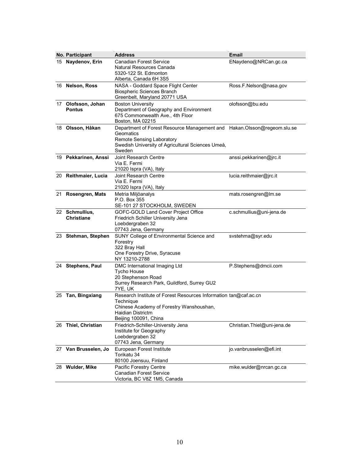|    | No. Participant                     | <b>Address</b>                                                                                                                                                                   | Email                       |
|----|-------------------------------------|----------------------------------------------------------------------------------------------------------------------------------------------------------------------------------|-----------------------------|
| 15 | Naydenov, Erin                      | <b>Canadian Forest Service</b><br>Natural Resources Canada<br>5320-122 St. Edmonton<br>Alberta, Canada 6H 3S5                                                                    | ENaydeno@NRCan.gc.ca        |
|    | 16 Nelson, Ross                     | NASA - Goddard Space Flight Center<br>Biospheric Sciences Branch<br>Greenbelt, Maryland 20771 USA                                                                                | Ross F. Nelson@nasa.gov     |
|    | 17 Olofsson, Johan<br><b>Pontus</b> | <b>Boston University</b><br>Department of Geography and Environment<br>675 Commonwealth Ave., 4th Floor<br>Boston, MA 02215                                                      | olofsson@bu.edu             |
|    | 18 Olsson, Håkan                    | Department of Forest Resource Management and Hakan.Olsson@regeom.slu.se<br>Geomatics<br>Remote Sensing Laboratory<br>Swedish University of Agricultural Sciences Umeå,<br>Sweden |                             |
|    | 19 Pekkarinen, Anssi                | Joint Research Centre<br>Via E. Fermi<br>21020 Ispra (VA), Italy                                                                                                                 | anssi.pekkarinen@jrc.it     |
|    | 20 Reithmaier, Lucia                | Joint Research Centre<br>Via E. Fermi<br>21020 Ispra (VA), Italy                                                                                                                 | lucia.reithmaier@jrc.it     |
|    | 21 Rosengren, Mats                  | Metria Miljöanalys<br>P.O. Box 355<br>SE-101 27 STOCKHOLM, SWEDEN                                                                                                                | mats.rosengren@lm.se        |
|    | 22 Schmullius,<br><b>Christiane</b> | GOFC-GOLD Land Cover Project Office<br>Friedrich Schiller University Jena<br>Loebdergraben 32<br>07743 Jena, Germany                                                             | c.schmullius@uni-jena.de    |
|    | 23 Stehman, Stephen                 | SUNY College of Environmental Science and<br>Forestry<br>322 Bray Hall<br>One Forestry Drive, Syracuse<br>NY 13210-2788                                                          | svstehma@syr.edu            |
|    | 24 Stephens, Paul                   | DMC International Imaging Ltd<br><b>Tycho House</b><br>20 Stephenson Road<br>Surrey Research Park, Guildford, Surrey GU2<br>7YE, UK                                              | P.Stephens@dmcii.com        |
|    | 25 Tan, Bingxiang                   | Research Institute of Forest Resources Information tan@caf.ac.cn<br>Technique<br>Chinese Academy of Forestry Wanshoushan,<br>Haidian Districtm<br>Beijing 100091, China          |                             |
|    | 26 Thiel, Christian                 | Friedrich-Schiller-University Jena<br>Institute for Geography<br>Loebdergraben 32<br>07743 Jena, Germany                                                                         | Christian.Thiel@uni-jena.de |
|    | 27 Van Brusselen, Jo                | European Forest Institute<br>Torikatu 34<br>80100 Joensuu, Finland                                                                                                               | jo.vanbrusselen@efi.int     |
|    | 28 Wulder, Mike                     | Pacific Forestry Centre<br><b>Canadian Forest Service</b><br>Victoria, BC V8Z 1M5, Canada                                                                                        | mike.wulder@nrcan.gc.ca     |